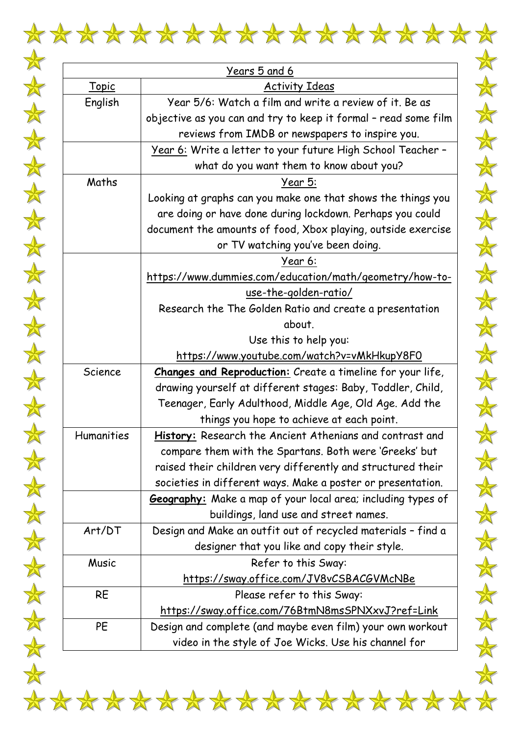